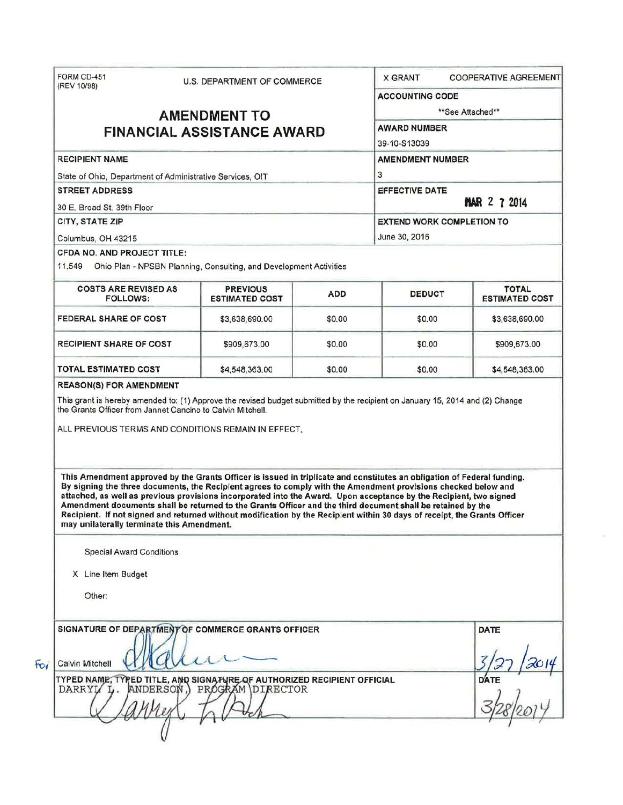| FORM CD-451<br>(REV 10/98)                                                                                                                                                                                                                                                                                                                                                                                                                                                                                                                                                                                                                                                                                                                                                                                                                                                                                                         | U.S. DEPARTMENT OF COMMERCE              |            | <b>COOPERATIVE AGREEMENT</b><br><b>X GRANT</b>                                                         |                                       |  |                                                          |                                                                    |  |  |  |
|------------------------------------------------------------------------------------------------------------------------------------------------------------------------------------------------------------------------------------------------------------------------------------------------------------------------------------------------------------------------------------------------------------------------------------------------------------------------------------------------------------------------------------------------------------------------------------------------------------------------------------------------------------------------------------------------------------------------------------------------------------------------------------------------------------------------------------------------------------------------------------------------------------------------------------|------------------------------------------|------------|--------------------------------------------------------------------------------------------------------|---------------------------------------|--|----------------------------------------------------------|--------------------------------------------------------------------|--|--|--|
|                                                                                                                                                                                                                                                                                                                                                                                                                                                                                                                                                                                                                                                                                                                                                                                                                                                                                                                                    |                                          |            | <b>ACCOUNTING CODE</b>                                                                                 |                                       |  |                                                          |                                                                    |  |  |  |
|                                                                                                                                                                                                                                                                                                                                                                                                                                                                                                                                                                                                                                                                                                                                                                                                                                                                                                                                    | **See Attached**                         |            |                                                                                                        |                                       |  |                                                          |                                                                    |  |  |  |
| <b>AMENDMENT TO</b><br><b>FINANCIAL ASSISTANCE AWARD</b>                                                                                                                                                                                                                                                                                                                                                                                                                                                                                                                                                                                                                                                                                                                                                                                                                                                                           |                                          |            | <b>AWARD NUMBER</b>                                                                                    |                                       |  |                                                          |                                                                    |  |  |  |
|                                                                                                                                                                                                                                                                                                                                                                                                                                                                                                                                                                                                                                                                                                                                                                                                                                                                                                                                    |                                          |            | 39-10-S13039                                                                                           |                                       |  |                                                          |                                                                    |  |  |  |
| <b>RECIPIENT NAME</b>                                                                                                                                                                                                                                                                                                                                                                                                                                                                                                                                                                                                                                                                                                                                                                                                                                                                                                              |                                          |            | <b>AMENDMENT NUMBER</b>                                                                                |                                       |  |                                                          |                                                                    |  |  |  |
| State of Ohio, Department of Administrative Services, OIT<br><b>STREET ADDRESS</b><br>30 E. Broad St. 39th Floor<br>CITY, STATE ZIP                                                                                                                                                                                                                                                                                                                                                                                                                                                                                                                                                                                                                                                                                                                                                                                                |                                          |            | 3<br><b>EFFECTIVE DATE</b><br><b>MAR 2 7 2014</b><br><b>EXTEND WORK COMPLETION TO</b><br>June 30, 2016 |                                       |  |                                                          |                                                                    |  |  |  |
|                                                                                                                                                                                                                                                                                                                                                                                                                                                                                                                                                                                                                                                                                                                                                                                                                                                                                                                                    |                                          |            |                                                                                                        |                                       |  | Columbus, OH 43215<br><b>CFDA NO. AND PROJECT TITLE:</b> |                                                                    |  |  |  |
|                                                                                                                                                                                                                                                                                                                                                                                                                                                                                                                                                                                                                                                                                                                                                                                                                                                                                                                                    |                                          |            |                                                                                                        |                                       |  | 11.549                                                   | Ohio Plan - NPSBN Planning, Consulting, and Development Activities |  |  |  |
| <b>COSTS ARE REVISED AS</b><br><b>FOLLOWS:</b>                                                                                                                                                                                                                                                                                                                                                                                                                                                                                                                                                                                                                                                                                                                                                                                                                                                                                     | <b>PREVIOUS</b><br><b>ESTIMATED COST</b> | <b>ADD</b> | <b>DEDUCT</b>                                                                                          | <b>TOTAL</b><br><b>ESTIMATED COST</b> |  |                                                          |                                                                    |  |  |  |
| <b>FEDERAL SHARE OF COST</b>                                                                                                                                                                                                                                                                                                                                                                                                                                                                                                                                                                                                                                                                                                                                                                                                                                                                                                       | \$3,638,690.00                           | \$0.00     | \$0.00                                                                                                 | \$3,638,690.00                        |  |                                                          |                                                                    |  |  |  |
| <b>RECIPIENT SHARE OF COST</b>                                                                                                                                                                                                                                                                                                                                                                                                                                                                                                                                                                                                                                                                                                                                                                                                                                                                                                     | \$909,673.00                             | \$0.00     | \$0.00                                                                                                 | \$909,673.00                          |  |                                                          |                                                                    |  |  |  |
|                                                                                                                                                                                                                                                                                                                                                                                                                                                                                                                                                                                                                                                                                                                                                                                                                                                                                                                                    |                                          |            |                                                                                                        |                                       |  |                                                          |                                                                    |  |  |  |
|                                                                                                                                                                                                                                                                                                                                                                                                                                                                                                                                                                                                                                                                                                                                                                                                                                                                                                                                    | \$4,548,363.00                           | \$0.00     | \$0.00                                                                                                 | \$4,548,363.00                        |  |                                                          |                                                                    |  |  |  |
| <b>TOTAL ESTIMATED COST</b><br><b>REASON(S) FOR AMENDMENT</b><br>This grant is hereby amended to: (1) Approve the revised budget submitted by the recipient on January 15, 2014 and (2) Change<br>the Grants Officer from Jannet Cancino to Calvin Mitchell.<br>ALL PREVIOUS TERMS AND CONDITIONS REMAIN IN EFFECT.<br>This Amendment approved by the Grants Officer is issued in triplicate and constitutes an obligation of Federal funding.<br>By signing the three documents, the Recipient agrees to comply with the Amendment provisions checked below and<br>attached, as well as previous provisions incorporated into the Award. Upon acceptance by the Recipient, two signed<br>Amendment documents shall be returned to the Grants Officer and the third document shall be retained by the<br>Recipient. If not signed and returned without modification by the Recipient within 30 days of receipt, the Grants Officer |                                          |            |                                                                                                        |                                       |  |                                                          |                                                                    |  |  |  |
| may unilaterally terminate this Amendment.<br><b>Special Award Conditions</b><br>X Line Item Budget<br>Other:                                                                                                                                                                                                                                                                                                                                                                                                                                                                                                                                                                                                                                                                                                                                                                                                                      |                                          |            |                                                                                                        |                                       |  |                                                          |                                                                    |  |  |  |
| SIGNATURE OF DEPARTMENT OF COMMERCE GRANTS OFFICER<br><b>Calvin Mitchell</b>                                                                                                                                                                                                                                                                                                                                                                                                                                                                                                                                                                                                                                                                                                                                                                                                                                                       |                                          |            |                                                                                                        | <b>DATE</b>                           |  |                                                          |                                                                    |  |  |  |